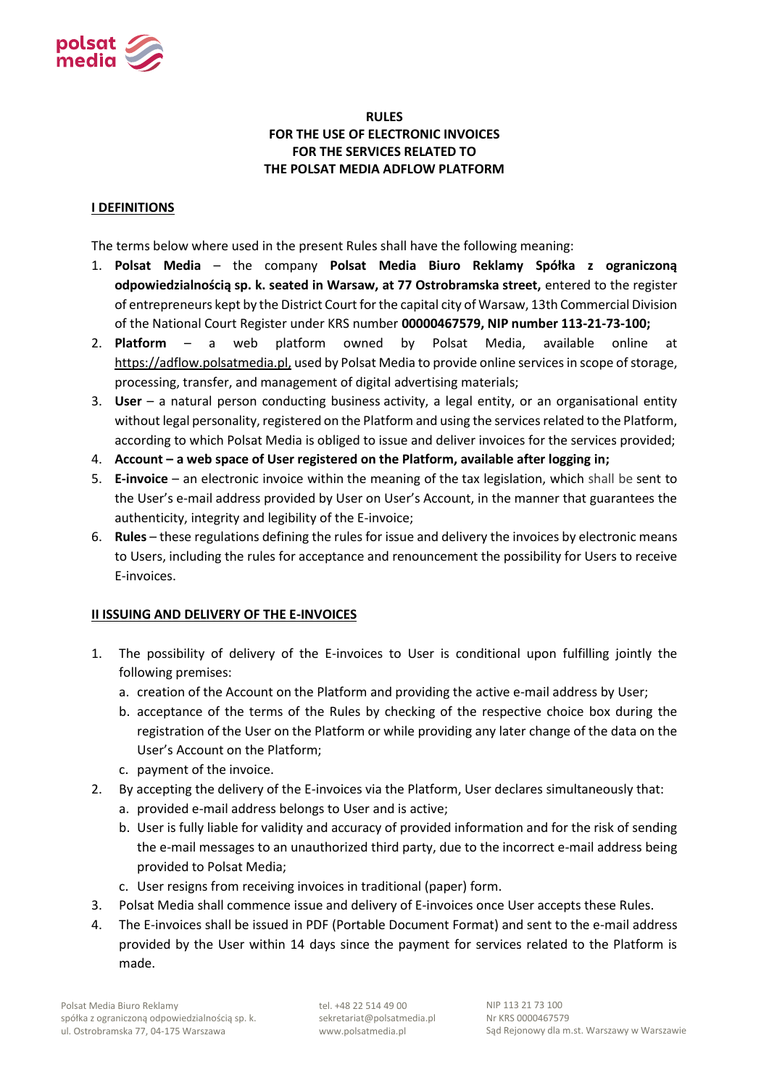

# **RULES FOR THE USE OF ELECTRONIC INVOICES FOR THE SERVICES RELATED TO THE POLSAT MEDIA ADFLOW PLATFORM**

# **I DEFINITIONS**

The terms below where used in the present Rules shall have the following meaning:

- 1. **Polsat Media** the company **Polsat Media Biuro Reklamy Spółka z ograniczoną odpowiedzialnością sp. k. seated in Warsaw, at 77 Ostrobramska street,** entered to the register of entrepreneurs kept by the District Court for the capital city of Warsaw, 13th Commercial Division of the National Court Register under KRS number **00000467579, NIP number 113-21-73-100;**
- 2. **Platform** a web platform owned by Polsat Media, available online at https://adflow.polsatmedia.pl, used by Polsat Media to provide online services in scope of storage, processing, transfer, and management of digital advertising materials;
- 3. **User** a natural person conducting business activity, a legal entity, or an organisational entity without legal personality, registered on the Platform and using the services related to the Platform, according to which Polsat Media is obliged to issue and deliver invoices for the services provided;
- 4. **Account – a web space of User registered on the Platform, available after logging in;**
- 5. **E-invoice**  an electronic invoice within the meaning of the tax legislation, which shall be sent to the User's e-mail address provided by User on User's Account, in the manner that guarantees the authenticity, integrity and legibility of the E-invoice;
- 6. **Rules** these regulations defining the rules for issue and delivery the invoices by electronic means to Users, including the rules for acceptance and renouncement the possibility for Users to receive E-invoices.

### **II ISSUING AND DELIVERY OF THE E-INVOICES**

- 1. The possibility of delivery of the E-invoices to User is conditional upon fulfilling jointly the following premises:
	- a. creation of the Account on the Platform and providing the active e-mail address by User;
	- b. acceptance of the terms of the Rules by checking of the respective choice box during the registration of the User on the Platform or while providing any later change of the data on the User's Account on the Platform;
	- c. payment of the invoice.
- 2. By accepting the delivery of the E-invoices via the Platform, User declares simultaneously that:
	- a. provided e-mail address belongs to User and is active;
	- b. User is fully liable for validity and accuracy of provided information and for the risk of sending the e-mail messages to an unauthorized third party, due to the incorrect e-mail address being provided to Polsat Media;
	- c. User resigns from receiving invoices in traditional (paper) form.
- 3. Polsat Media shall commence issue and delivery of E-invoices once User accepts these Rules.
- 4. The E-invoices shall be issued in PDF (Portable Document Format) and sent to the e-mail address provided by the User within 14 days since the payment for services related to the Platform is made.